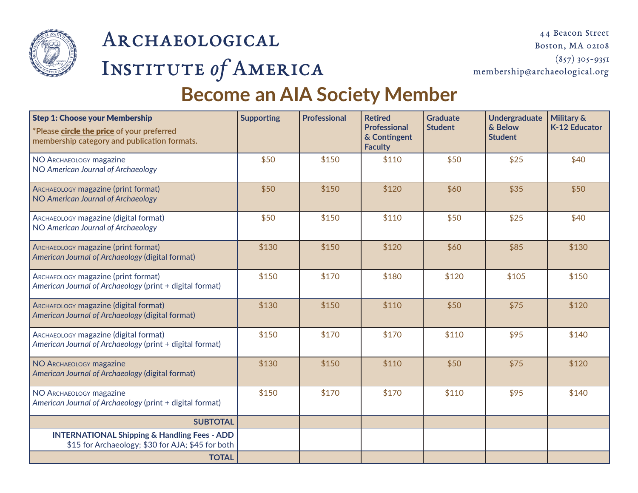

# Archaeological Institute *of* America

## **Become an AIA Society Member**

| <b>Step 1: Choose your Membership</b><br>*Please circle the price of your preferred<br>membership category and publication formats. | <b>Supporting</b> | <b>Professional</b> | <b>Retired</b><br>Professional<br>& Contingent<br><b>Faculty</b> | <b>Graduate</b><br><b>Student</b> | <b>Undergraduate</b><br>& Below<br><b>Student</b> | <b>Military &amp;</b><br><b>K-12 Educator</b> |
|-------------------------------------------------------------------------------------------------------------------------------------|-------------------|---------------------|------------------------------------------------------------------|-----------------------------------|---------------------------------------------------|-----------------------------------------------|
| NO ARCHAEOLOGY magazine<br>NO American Journal of Archaeology                                                                       | \$50              | \$150               | \$110                                                            | \$50                              | \$25                                              | \$40                                          |
| ARCHAEOLOGY magazine (print format)<br>NO American Journal of Archaeology                                                           | \$50              | \$150               | \$120                                                            | \$60                              | \$35                                              | \$50                                          |
| ARCHAEOLOGY magazine (digital format)<br>NO American Journal of Archaeology                                                         | \$50              | \$150               | \$110                                                            | \$50                              | \$25                                              | \$40                                          |
| ARCHAEOLOGY magazine (print format)<br>American Journal of Archaeology (digital format)                                             | \$130             | \$150               | \$120                                                            | \$60                              | \$85                                              | \$130                                         |
| ARCHAEOLOGY magazine (print format)<br>American Journal of Archaeology (print + digital format)                                     | \$150             | \$170               | \$180                                                            | \$120                             | \$105                                             | \$150                                         |
| ARCHAEOLOGY magazine (digital format)<br>American Journal of Archaeology (digital format)                                           | \$130             | \$150               | \$110                                                            | \$50                              | \$75                                              | \$120                                         |
| ARCHAEOLOGY magazine (digital format)<br>American Journal of Archaeology (print + digital format)                                   | \$150             | \$170               | \$170                                                            | \$110                             | \$95                                              | \$140                                         |
| NO ARCHAEOLOGY magazine<br>American Journal of Archaeology (digital format)                                                         | \$130             | \$150               | \$110                                                            | \$50                              | \$75                                              | \$120                                         |
| NO ARCHAEOLOGY magazine<br>American Journal of Archaeology (print + digital format)                                                 | \$150             | \$170               | \$170                                                            | \$110                             | \$95                                              | \$140                                         |
| <b>SUBTOTAL</b>                                                                                                                     |                   |                     |                                                                  |                                   |                                                   |                                               |
| <b>INTERNATIONAL Shipping &amp; Handling Fees - ADD</b><br>\$15 for Archaeology; \$30 for AJA; \$45 for both                        |                   |                     |                                                                  |                                   |                                                   |                                               |
| <b>TOTAL</b>                                                                                                                        |                   |                     |                                                                  |                                   |                                                   |                                               |